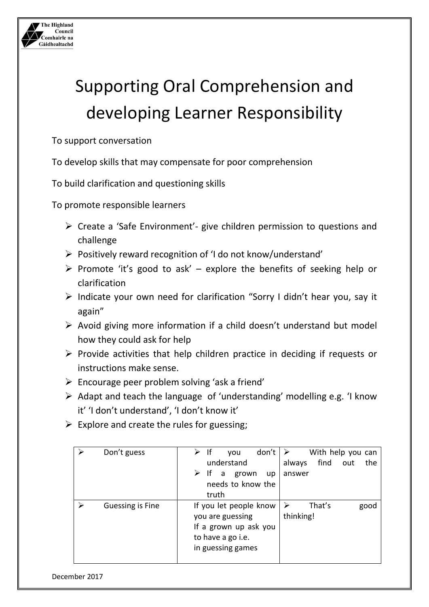

## Supporting Oral Comprehension and developing Learner Responsibility

To support conversation

To develop skills that may compensate for poor comprehension

To build clarification and questioning skills

To promote responsible learners

- $\triangleright$  Create a 'Safe Environment'- give children permission to questions and challenge
- $\triangleright$  Positively reward recognition of 'I do not know/understand'
- $\triangleright$  Promote 'it's good to ask' explore the benefits of seeking help or clarification
- $\triangleright$  Indicate your own need for clarification "Sorry I didn't hear you, say it again"
- $\triangleright$  Avoid giving more information if a child doesn't understand but model how they could ask for help
- $\triangleright$  Provide activities that help children practice in deciding if requests or instructions make sense.
- $\triangleright$  Encourage peer problem solving 'ask a friend'
- $\triangleright$  Adapt and teach the language of 'understanding' modelling e.g. 'I know it' 'I don't understand', 'I don't know it'
- $\triangleright$  Explore and create the rules for guessing;

| Don't guess      | don't<br> f <br>vou<br>understand<br>$\triangleright$ If<br>a grown<br>up<br>needs to know the<br>truth       | With help you can<br>find<br>the<br>always<br>out<br>answer |
|------------------|---------------------------------------------------------------------------------------------------------------|-------------------------------------------------------------|
| Guessing is Fine | If you let people know<br>you are guessing<br>If a grown up ask you<br>to have a go i.e.<br>in guessing games | That's<br>$\blacktriangleright$<br>good<br>thinking!        |